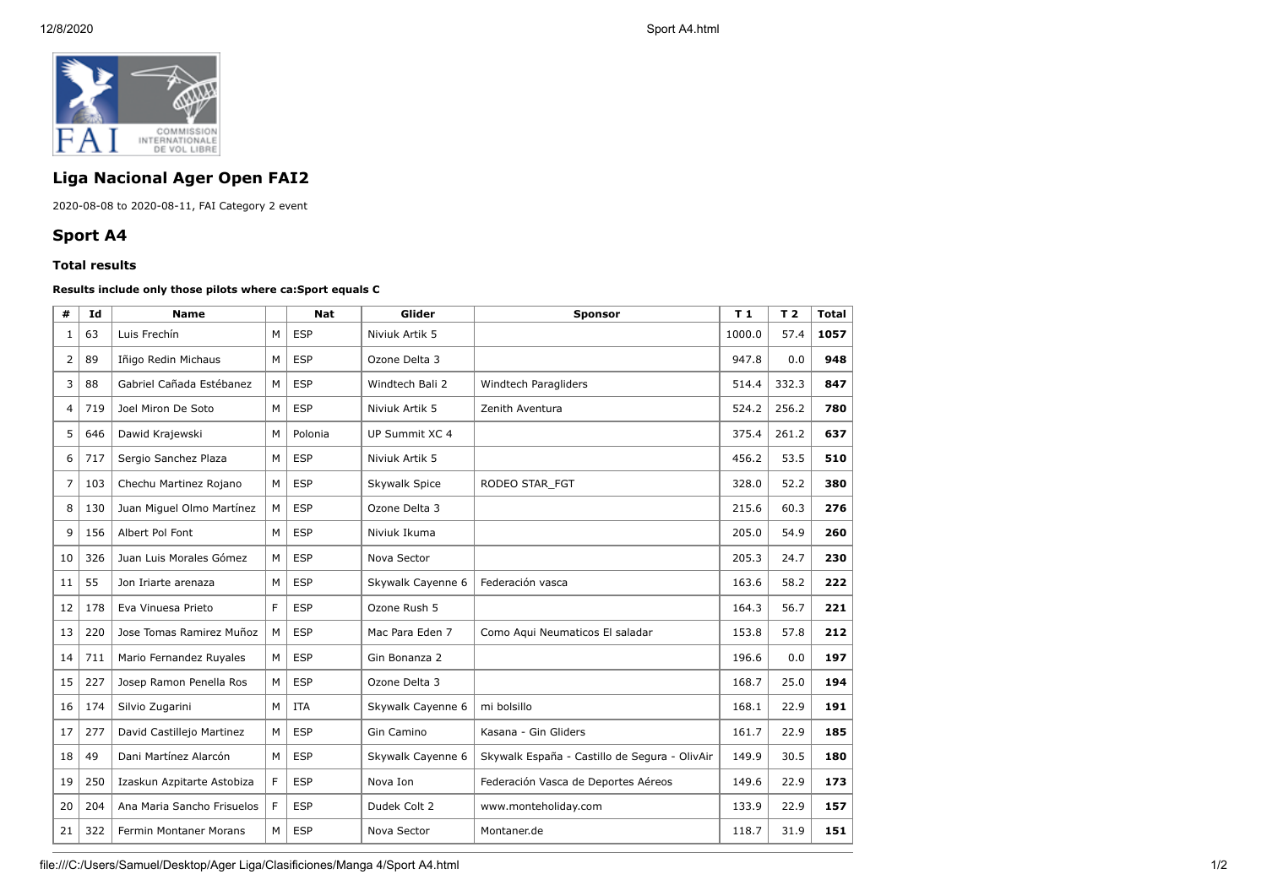

## **Liga Nacional Ager Open FAI2**

2020-08-08 to 2020-08-11, FAI Category 2 event

## **Sport A4**

## **Total results**

## **Results include only those pilots where ca:Sport equals C**

| #              | Id  | <b>Name</b>                |   | <b>Nat</b> | Glider            | <b>Sponsor</b>                                | T <sub>1</sub> | T <sub>2</sub> | <b>Total</b> |
|----------------|-----|----------------------------|---|------------|-------------------|-----------------------------------------------|----------------|----------------|--------------|
| 1              | 63  | Luis Frechín               | м | <b>ESP</b> | Niviuk Artik 5    |                                               | 1000.0         | 57.4           | 1057         |
| 2              | 89  | Iñigo Redin Michaus        | м | <b>ESP</b> | Ozone Delta 3     |                                               | 947.8          | 0.0            | 948          |
| 3              | 88  | Gabriel Cañada Estébanez   | M | <b>ESP</b> | Windtech Bali 2   | Windtech Paragliders                          | 514.4          | 332.3          | 847          |
| $\overline{4}$ | 719 | Joel Miron De Soto         | M | <b>ESP</b> | Niviuk Artik 5    | Zenith Aventura                               | 524.2          | 256.2          | 780          |
| 5              | 646 | Dawid Krajewski            | M | Polonia    | UP Summit XC 4    |                                               | 375.4          | 261.2          | 637          |
| 6              | 717 | Sergio Sanchez Plaza       | M | <b>ESP</b> | Niviuk Artik 5    |                                               | 456.2          | 53.5           | 510          |
| 7              | 103 | Chechu Martinez Rojano     | M | <b>ESP</b> | Skywalk Spice     | RODEO STAR FGT                                | 328.0          | 52.2           | 380          |
| 8              | 130 | Juan Miguel Olmo Martínez  | M | <b>ESP</b> | Ozone Delta 3     |                                               | 215.6          | 60.3           | 276          |
| 9              | 156 | Albert Pol Font            | M | <b>ESP</b> | Niviuk Ikuma      |                                               | 205.0          | 54.9           | 260          |
| 10             | 326 | Juan Luis Morales Gómez    | M | <b>ESP</b> | Nova Sector       |                                               | 205.3          | 24.7           | 230          |
| 11             | 55  | Jon Iriarte arenaza        | M | <b>ESP</b> | Skywalk Cayenne 6 | Federación vasca                              | 163.6          | 58.2           | 222          |
| 12             | 178 | Eva Vinuesa Prieto         | F | ESP        | Ozone Rush 5      |                                               | 164.3          | 56.7           | 221          |
| 13             | 220 | Jose Tomas Ramirez Muñoz   | M | <b>ESP</b> | Mac Para Eden 7   | Como Aqui Neumaticos El saladar               | 153.8          | 57.8           | 212          |
| 14             | 711 | Mario Fernandez Ruyales    | M | <b>ESP</b> | Gin Bonanza 2     |                                               | 196.6          | 0.0            | 197          |
| 15             | 227 | Josep Ramon Penella Ros    | M | <b>ESP</b> | Ozone Delta 3     |                                               | 168.7          | 25.0           | 194          |
| 16             | 174 | Silvio Zugarini            | M | <b>ITA</b> | Skywalk Cayenne 6 | mi bolsillo                                   | 168.1          | 22.9           | 191          |
| 17             | 277 | David Castillejo Martinez  | M | <b>ESP</b> | Gin Camino        | Kasana - Gin Gliders                          | 161.7          | 22.9           | 185          |
| 18             | 49  | Dani Martínez Alarcón      | M | <b>ESP</b> | Skywalk Cayenne 6 | Skywalk España - Castillo de Segura - OlivAir | 149.9          | 30.5           | 180          |
| 19             | 250 | Izaskun Azpitarte Astobiza | F | <b>ESP</b> | Nova Ion          | Federación Vasca de Deportes Aéreos           | 149.6          | 22.9           | 173          |
| 20             | 204 | Ana Maria Sancho Frisuelos | F | <b>ESP</b> | Dudek Colt 2      | www.monteholiday.com                          | 133.9          | 22.9           | 157          |
| 21             | 322 | Fermin Montaner Morans     | м | <b>ESP</b> | Nova Sector       | Montaner.de                                   | 118.7          | 31.9           | 151          |

file:///C:/Users/Samuel/Desktop/Ager Liga/Clasificiones/Manga 4/Sport A4.html 1/2